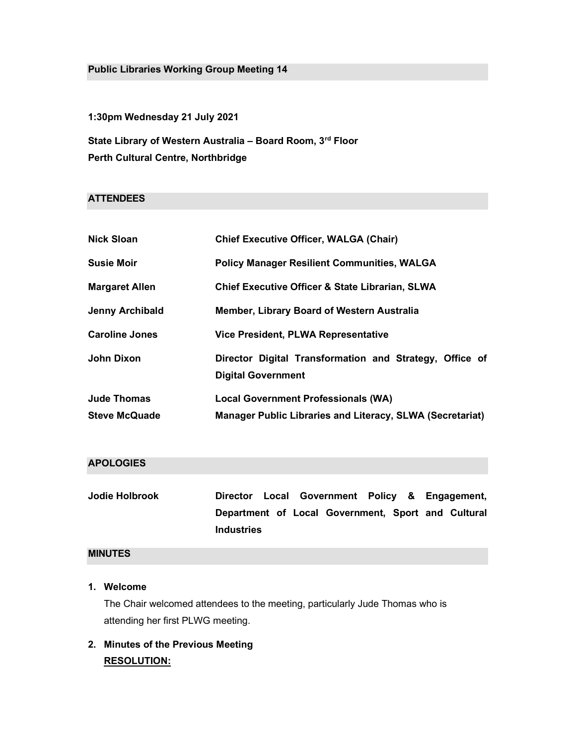# Public Libraries Working Group Meeting 14

1:30pm Wednesday 21 July 2021

State Library of Western Australia - Board Room, 3rd Floor Perth Cultural Centre, Northbridge

# **ATTENDEES**

| <b>Nick Sloan</b>                          | <b>Chief Executive Officer, WALGA (Chair)</b>                                                           |
|--------------------------------------------|---------------------------------------------------------------------------------------------------------|
| <b>Susie Moir</b>                          | <b>Policy Manager Resilient Communities, WALGA</b>                                                      |
| <b>Margaret Allen</b>                      | <b>Chief Executive Officer &amp; State Librarian, SLWA</b>                                              |
| <b>Jenny Archibald</b>                     | Member, Library Board of Western Australia                                                              |
| <b>Caroline Jones</b>                      | <b>Vice President, PLWA Representative</b>                                                              |
| John Dixon                                 | Director Digital Transformation and Strategy, Office of<br><b>Digital Government</b>                    |
| <b>Jude Thomas</b><br><b>Steve McQuade</b> | <b>Local Government Professionals (WA)</b><br>Manager Public Libraries and Literacy, SLWA (Secretariat) |

# APOLOGIES

| Jodie Holbrook | Director                                           |  |  | Local Government Policy & Engagement, |  |
|----------------|----------------------------------------------------|--|--|---------------------------------------|--|
|                | Department of Local Government, Sport and Cultural |  |  |                                       |  |
|                | <b>Industries</b>                                  |  |  |                                       |  |

# MINUTES

# 1. Welcome

The Chair welcomed attendees to the meeting, particularly Jude Thomas who is attending her first PLWG meeting.

# 2. Minutes of the Previous Meeting RESOLUTION: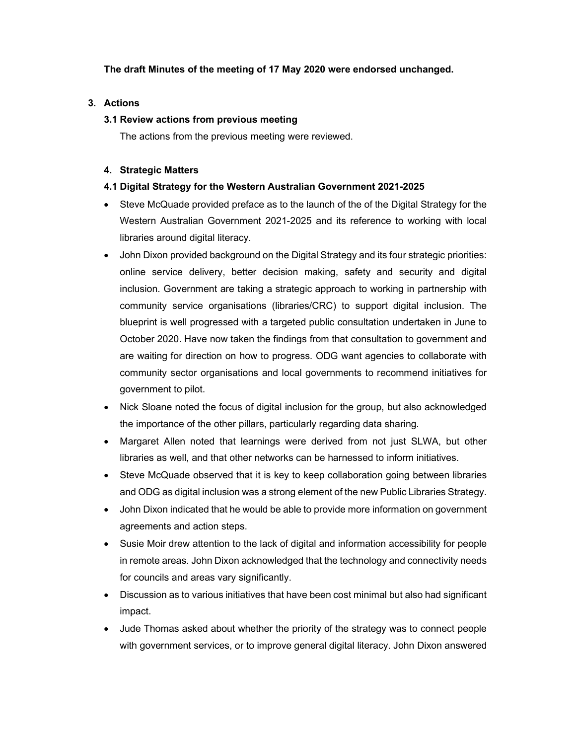### The draft Minutes of the meeting of 17 May 2020 were endorsed unchanged.

### 3. Actions

# 3.1 Review actions from previous meeting

The actions from the previous meeting were reviewed.

### 4. Strategic Matters

# 4.1 Digital Strategy for the Western Australian Government 2021-2025

- Steve McQuade provided preface as to the launch of the of the Digital Strategy for the Western Australian Government 2021-2025 and its reference to working with local libraries around digital literacy.
- John Dixon provided background on the Digital Strategy and its four strategic priorities: online service delivery, better decision making, safety and security and digital inclusion. Government are taking a strategic approach to working in partnership with community service organisations (libraries/CRC) to support digital inclusion. The blueprint is well progressed with a targeted public consultation undertaken in June to October 2020. Have now taken the findings from that consultation to government and are waiting for direction on how to progress. ODG want agencies to collaborate with community sector organisations and local governments to recommend initiatives for government to pilot.
- Nick Sloane noted the focus of digital inclusion for the group, but also acknowledged the importance of the other pillars, particularly regarding data sharing.
- Margaret Allen noted that learnings were derived from not just SLWA, but other libraries as well, and that other networks can be harnessed to inform initiatives.
- Steve McQuade observed that it is key to keep collaboration going between libraries and ODG as digital inclusion was a strong element of the new Public Libraries Strategy.
- John Dixon indicated that he would be able to provide more information on government agreements and action steps.
- Susie Moir drew attention to the lack of digital and information accessibility for people in remote areas. John Dixon acknowledged that the technology and connectivity needs for councils and areas vary significantly.
- Discussion as to various initiatives that have been cost minimal but also had significant impact.
- Jude Thomas asked about whether the priority of the strategy was to connect people with government services, or to improve general digital literacy. John Dixon answered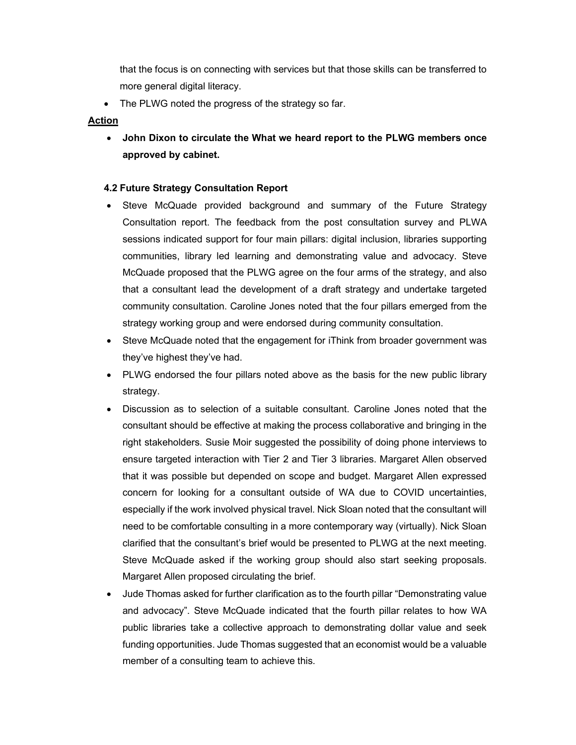that the focus is on connecting with services but that those skills can be transferred to more general digital literacy.

• The PLWG noted the progress of the strategy so far.

#### Action

 John Dixon to circulate the What we heard report to the PLWG members once approved by cabinet.

#### 4.2 Future Strategy Consultation Report

- Steve McQuade provided background and summary of the Future Strategy Consultation report. The feedback from the post consultation survey and PLWA sessions indicated support for four main pillars: digital inclusion, libraries supporting communities, library led learning and demonstrating value and advocacy. Steve McQuade proposed that the PLWG agree on the four arms of the strategy, and also that a consultant lead the development of a draft strategy and undertake targeted community consultation. Caroline Jones noted that the four pillars emerged from the strategy working group and were endorsed during community consultation.
- Steve McQuade noted that the engagement for iThink from broader government was they've highest they've had.
- PLWG endorsed the four pillars noted above as the basis for the new public library strategy.
- Discussion as to selection of a suitable consultant. Caroline Jones noted that the consultant should be effective at making the process collaborative and bringing in the right stakeholders. Susie Moir suggested the possibility of doing phone interviews to ensure targeted interaction with Tier 2 and Tier 3 libraries. Margaret Allen observed that it was possible but depended on scope and budget. Margaret Allen expressed concern for looking for a consultant outside of WA due to COVID uncertainties, especially if the work involved physical travel. Nick Sloan noted that the consultant will need to be comfortable consulting in a more contemporary way (virtually). Nick Sloan clarified that the consultant's brief would be presented to PLWG at the next meeting. Steve McQuade asked if the working group should also start seeking proposals. Margaret Allen proposed circulating the brief.
- Jude Thomas asked for further clarification as to the fourth pillar "Demonstrating value and advocacy". Steve McQuade indicated that the fourth pillar relates to how WA public libraries take a collective approach to demonstrating dollar value and seek funding opportunities. Jude Thomas suggested that an economist would be a valuable member of a consulting team to achieve this.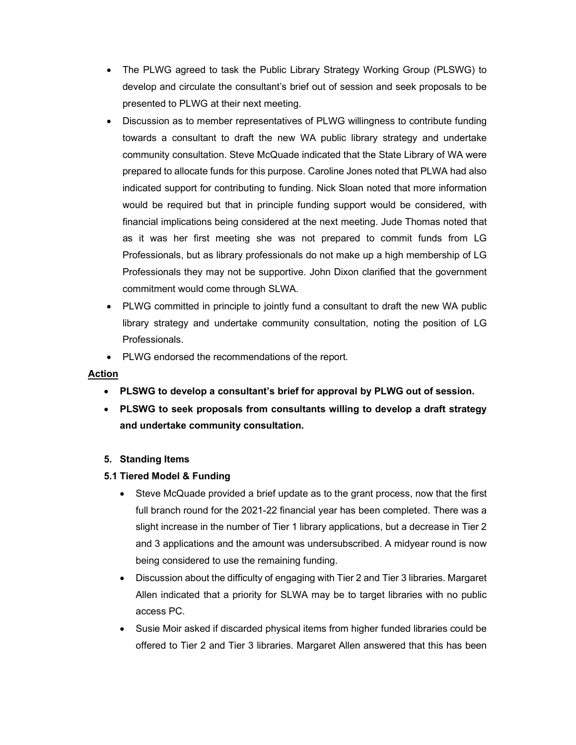- The PLWG agreed to task the Public Library Strategy Working Group (PLSWG) to develop and circulate the consultant's brief out of session and seek proposals to be presented to PLWG at their next meeting.
- Discussion as to member representatives of PLWG willingness to contribute funding towards a consultant to draft the new WA public library strategy and undertake community consultation. Steve McQuade indicated that the State Library of WA were prepared to allocate funds for this purpose. Caroline Jones noted that PLWA had also indicated support for contributing to funding. Nick Sloan noted that more information would be required but that in principle funding support would be considered, with financial implications being considered at the next meeting. Jude Thomas noted that as it was her first meeting she was not prepared to commit funds from LG Professionals, but as library professionals do not make up a high membership of LG Professionals they may not be supportive. John Dixon clarified that the government commitment would come through SLWA.
- PLWG committed in principle to jointly fund a consultant to draft the new WA public library strategy and undertake community consultation, noting the position of LG Professionals.
- PLWG endorsed the recommendations of the report.

# Action

- PLSWG to develop a consultant's brief for approval by PLWG out of session.
- PLSWG to seek proposals from consultants willing to develop a draft strategy and undertake community consultation.

# 5. Standing Items

# 5.1 Tiered Model & Funding

- Steve McQuade provided a brief update as to the grant process, now that the first full branch round for the 2021-22 financial year has been completed. There was a slight increase in the number of Tier 1 library applications, but a decrease in Tier 2 and 3 applications and the amount was undersubscribed. A midyear round is now being considered to use the remaining funding.
- Discussion about the difficulty of engaging with Tier 2 and Tier 3 libraries. Margaret Allen indicated that a priority for SLWA may be to target libraries with no public access PC.
- Susie Moir asked if discarded physical items from higher funded libraries could be offered to Tier 2 and Tier 3 libraries. Margaret Allen answered that this has been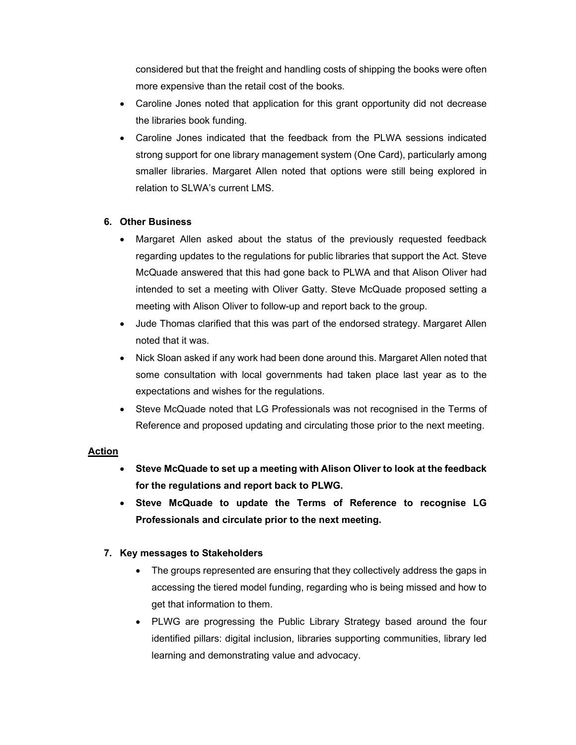considered but that the freight and handling costs of shipping the books were often more expensive than the retail cost of the books.

- Caroline Jones noted that application for this grant opportunity did not decrease the libraries book funding.
- Caroline Jones indicated that the feedback from the PLWA sessions indicated strong support for one library management system (One Card), particularly among smaller libraries. Margaret Allen noted that options were still being explored in relation to SLWA's current LMS.

# 6. Other Business

- Margaret Allen asked about the status of the previously requested feedback regarding updates to the regulations for public libraries that support the Act. Steve McQuade answered that this had gone back to PLWA and that Alison Oliver had intended to set a meeting with Oliver Gatty. Steve McQuade proposed setting a meeting with Alison Oliver to follow-up and report back to the group.
- Jude Thomas clarified that this was part of the endorsed strategy. Margaret Allen noted that it was.
- Nick Sloan asked if any work had been done around this. Margaret Allen noted that some consultation with local governments had taken place last year as to the expectations and wishes for the regulations.
- Steve McQuade noted that LG Professionals was not recognised in the Terms of Reference and proposed updating and circulating those prior to the next meeting.

#### Action

- Steve McQuade to set up a meeting with Alison Oliver to look at the feedback for the regulations and report back to PLWG.
- Steve McQuade to update the Terms of Reference to recognise LG Professionals and circulate prior to the next meeting.

# 7. Key messages to Stakeholders

- The groups represented are ensuring that they collectively address the gaps in accessing the tiered model funding, regarding who is being missed and how to get that information to them.
- PLWG are progressing the Public Library Strategy based around the four identified pillars: digital inclusion, libraries supporting communities, library led learning and demonstrating value and advocacy.